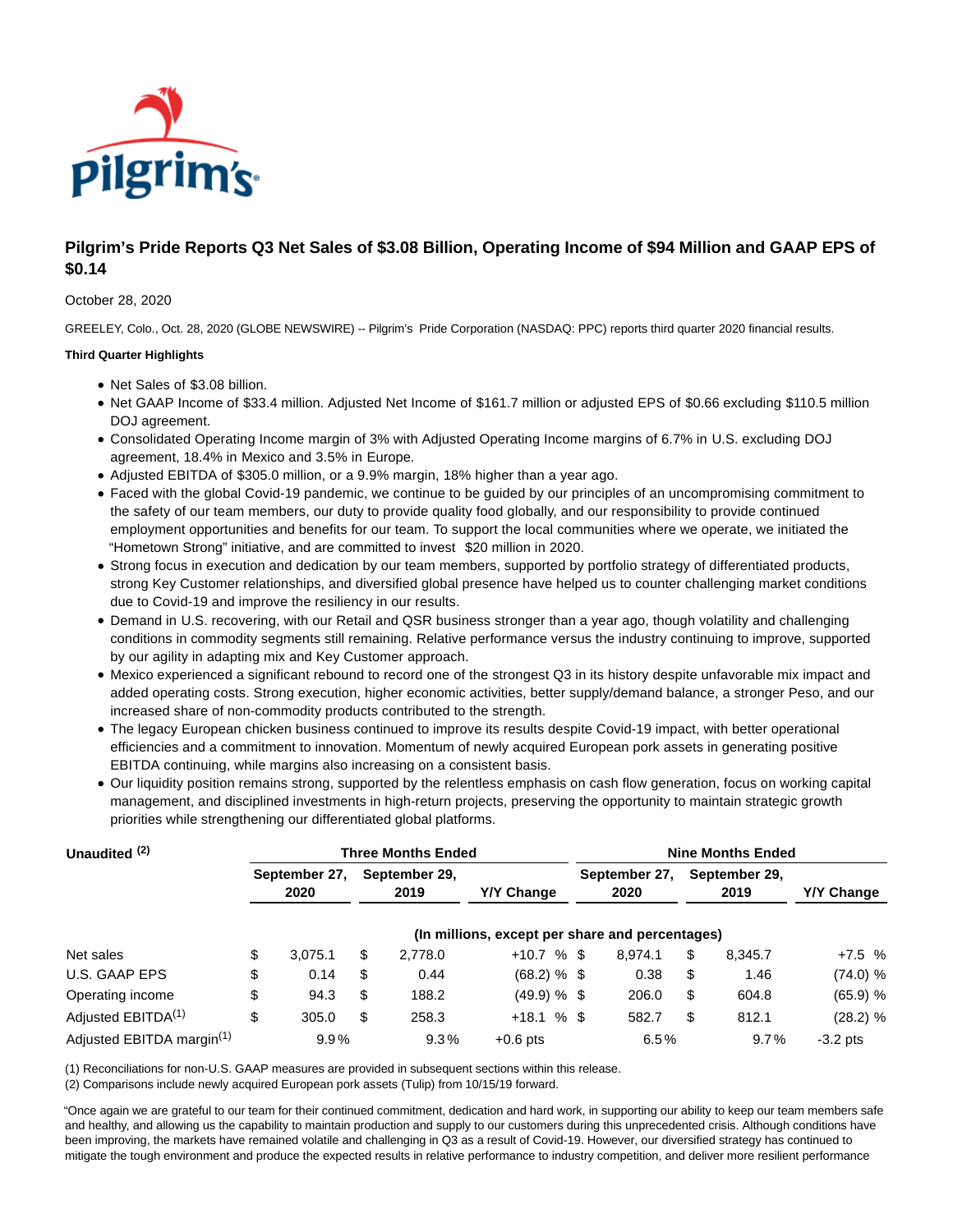

# **Pilgrim's Pride Reports Q3 Net Sales of \$3.08 Billion, Operating Income of \$94 Million and GAAP EPS of \$0.14**

### October 28, 2020

GREELEY, Colo., Oct. 28, 2020 (GLOBE NEWSWIRE) -- Pilgrim's Pride Corporation (NASDAQ: PPC) reports third quarter 2020 financial results.

### **Third Quarter Highlights**

- Net Sales of \$3.08 billion.
- Net GAAP Income of \$33.4 million. Adjusted Net Income of \$161.7 million or adjusted EPS of \$0.66 excluding \$110.5 million DOJ agreement.
- Consolidated Operating Income margin of 3% with Adjusted Operating Income margins of 6.7% in U.S. excluding DOJ agreement, 18.4% in Mexico and 3.5% in Europe.
- Adjusted EBITDA of \$305.0 million, or a 9.9% margin, 18% higher than a year ago.
- Faced with the global Covid-19 pandemic, we continue to be guided by our principles of an uncompromising commitment to the safety of our team members, our duty to provide quality food globally, and our responsibility to provide continued employment opportunities and benefits for our team. To support the local communities where we operate, we initiated the "Hometown Strong" initiative, and are committed to invest \$20 million in 2020.
- Strong focus in execution and dedication by our team members, supported by portfolio strategy of differentiated products, strong Key Customer relationships, and diversified global presence have helped us to counter challenging market conditions due to Covid-19 and improve the resiliency in our results.
- Demand in U.S. recovering, with our Retail and QSR business stronger than a year ago, though volatility and challenging conditions in commodity segments still remaining. Relative performance versus the industry continuing to improve, supported by our agility in adapting mix and Key Customer approach.
- Mexico experienced a significant rebound to record one of the strongest Q3 in its history despite unfavorable mix impact and added operating costs. Strong execution, higher economic activities, better supply/demand balance, a stronger Peso, and our increased share of non-commodity products contributed to the strength.
- The legacy European chicken business continued to improve its results despite Covid-19 impact, with better operational efficiencies and a commitment to innovation. Momentum of newly acquired European pork assets in generating positive EBITDA continuing, while margins also increasing on a consistent basis.
- Our liquidity position remains strong, supported by the relentless emphasis on cash flow generation, focus on working capital management, and disciplined investments in high-return projects, preserving the opportunity to maintain strategic growth priorities while strengthening our differentiated global platforms.

| Unaudited (2)                         |                       |         |                       | <b>Three Months Ended</b> |                                                 | <b>Nine Months Ended</b> |                       |    |                       |            |  |  |
|---------------------------------------|-----------------------|---------|-----------------------|---------------------------|-------------------------------------------------|--------------------------|-----------------------|----|-----------------------|------------|--|--|
|                                       | September 27,<br>2020 |         | September 29,<br>2019 |                           | Y/Y Change                                      |                          | September 27,<br>2020 |    | September 29.<br>2019 | Y/Y Change |  |  |
|                                       |                       |         |                       |                           | (In millions, except per share and percentages) |                          |                       |    |                       |            |  |  |
| Net sales                             | \$                    | 3.075.1 | \$                    | 2,778.0                   | $+10.7%$                                        |                          | 8.974.1               | \$ | 8,345.7               | $+7.5%$    |  |  |
| U.S. GAAP EPS                         | \$                    | 0.14    | \$                    | 0.44                      | $(68.2) \%$ \$                                  |                          | 0.38                  | \$ | 1.46                  | (74.0) %   |  |  |
| Operating income                      | \$                    | 94.3    | \$                    | 188.2                     | $(49.9) \%$ \$                                  |                          | 206.0                 | \$ | 604.8                 | (65.9) %   |  |  |
| Adjusted EBITDA <sup>(1)</sup>        | \$                    | 305.0   | S                     | 258.3                     | $+18.1%$                                        |                          | 582.7                 | \$ | 812.1                 | (28.2) %   |  |  |
| Adjusted EBITDA margin <sup>(1)</sup> |                       | 9.9%    |                       | 9.3%                      | $+0.6$ pts                                      |                          | 6.5%                  |    | 9.7%                  | $-3.2$ pts |  |  |

(1) Reconciliations for non-U.S. GAAP measures are provided in subsequent sections within this release.

(2) Comparisons include newly acquired European pork assets (Tulip) from 10/15/19 forward.

"Once again we are grateful to our team for their continued commitment, dedication and hard work, in supporting our ability to keep our team members safe and healthy, and allowing us the capability to maintain production and supply to our customers during this unprecedented crisis. Although conditions have been improving, the markets have remained volatile and challenging in Q3 as a result of Covid-19. However, our diversified strategy has continued to mitigate the tough environment and produce the expected results in relative performance to industry competition, and deliver more resilient performance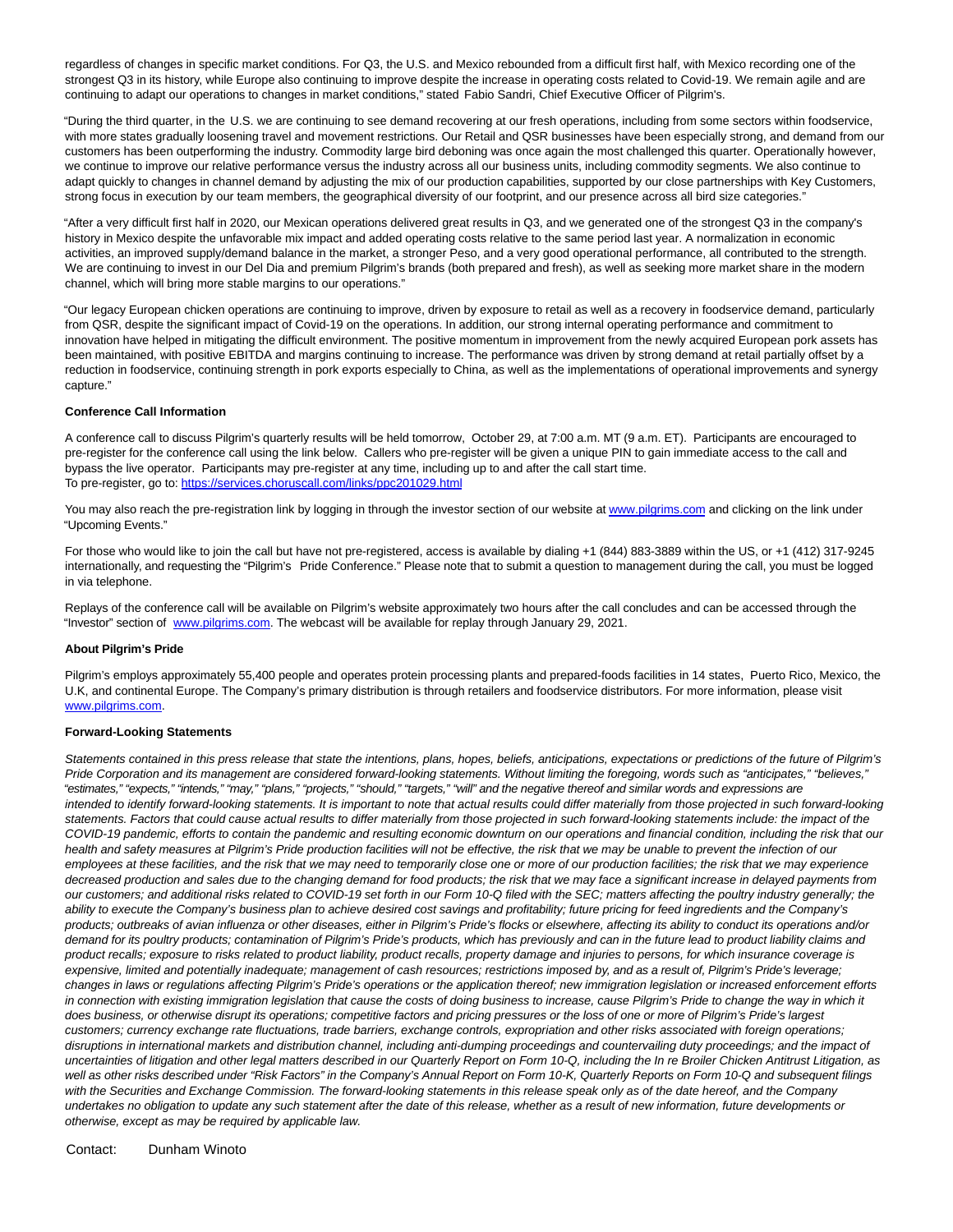regardless of changes in specific market conditions. For Q3, the U.S. and Mexico rebounded from a difficult first half, with Mexico recording one of the strongest Q3 in its history, while Europe also continuing to improve despite the increase in operating costs related to Covid-19. We remain agile and are continuing to adapt our operations to changes in market conditions," stated Fabio Sandri, Chief Executive Officer of Pilgrim's.

"During the third quarter, in the U.S. we are continuing to see demand recovering at our fresh operations, including from some sectors within foodservice, with more states gradually loosening travel and movement restrictions. Our Retail and QSR businesses have been especially strong, and demand from our customers has been outperforming the industry. Commodity large bird deboning was once again the most challenged this quarter. Operationally however, we continue to improve our relative performance versus the industry across all our business units, including commodity segments. We also continue to adapt quickly to changes in channel demand by adjusting the mix of our production capabilities, supported by our close partnerships with Key Customers, strong focus in execution by our team members, the geographical diversity of our footprint, and our presence across all bird size categories."

"After a very difficult first half in 2020, our Mexican operations delivered great results in Q3, and we generated one of the strongest Q3 in the company's history in Mexico despite the unfavorable mix impact and added operating costs relative to the same period last year. A normalization in economic activities, an improved supply/demand balance in the market, a stronger Peso, and a very good operational performance, all contributed to the strength. We are continuing to invest in our Del Dia and premium Pilgrim's brands (both prepared and fresh), as well as seeking more market share in the modern channel, which will bring more stable margins to our operations."

"Our legacy European chicken operations are continuing to improve, driven by exposure to retail as well as a recovery in foodservice demand, particularly from QSR, despite the significant impact of Covid-19 on the operations. In addition, our strong internal operating performance and commitment to innovation have helped in mitigating the difficult environment. The positive momentum in improvement from the newly acquired European pork assets has been maintained, with positive EBITDA and margins continuing to increase. The performance was driven by strong demand at retail partially offset by a reduction in foodservice, continuing strength in pork exports especially to China, as well as the implementations of operational improvements and synergy capture."

#### **Conference Call Information**

A conference call to discuss Pilgrim's quarterly results will be held tomorrow, October 29, at 7:00 a.m. MT (9 a.m. ET). Participants are encouraged to pre-register for the conference call using the link below. Callers who pre-register will be given a unique PIN to gain immediate access to the call and bypass the live operator. Participants may pre-register at any time, including up to and after the call start time. To pre-register, go to:<https://services.choruscall.com/links/ppc201029.html>

You may also reach the pre-registration link by logging in through the investor section of our website a[t www.pilgrims.com a](http://www.pilgrims.com/)nd clicking on the link under "Upcoming Events."

For those who would like to join the call but have not pre-registered, access is available by dialing +1 (844) 883-3889 within the US, or +1 (412) 317-9245 internationally, and requesting the "Pilgrim's Pride Conference." Please note that to submit a question to management during the call, you must be logged in via telephone.

Replays of the conference call will be available on Pilgrim's website approximately two hours after the call concludes and can be accessed through the "Investor" section of [www.pilgrims.com.](http://www.pilgrims.com/) The webcast will be available for replay through January 29, 2021.

#### **About Pilgrim's Pride**

Pilgrim's employs approximately 55,400 people and operates protein processing plants and prepared-foods facilities in 14 states, Puerto Rico, Mexico, the U.K, and continental Europe. The Company's primary distribution is through retailers and foodservice distributors. For more information, please visit [www.pilgrims.com.](http://www.pilgrims.com/)

#### **Forward-Looking Statements**

Statements contained in this press release that state the intentions, plans, hopes, beliefs, anticipations, expectations or predictions of the future of Pilgrim's Pride Corporation and its management are considered forward-looking statements. Without limiting the foregoing, words such as "anticipates," "believes," "estimates," "expects," "intends," "may," "plans," "projects," "should," "targets," "will" and the negative thereof and similar words and expressions are intended to identify forward-looking statements. It is important to note that actual results could differ materially from those projected in such forward-looking statements. Factors that could cause actual results to differ materially from those projected in such forward-looking statements include: the impact of the COVID-19 pandemic, efforts to contain the pandemic and resulting economic downturn on our operations and financial condition, including the risk that our health and safety measures at Pilgrim's Pride production facilities will not be effective, the risk that we may be unable to prevent the infection of our employees at these facilities, and the risk that we may need to temporarily close one or more of our production facilities; the risk that we may experience decreased production and sales due to the changing demand for food products; the risk that we may face a significant increase in delayed payments from our customers; and additional risks related to COVID-19 set forth in our Form 10-Q filed with the SEC; matters affecting the poultry industry generally; the ability to execute the Company's business plan to achieve desired cost savings and profitability; future pricing for feed ingredients and the Company's products; outbreaks of avian influenza or other diseases, either in Pilgrim's Pride's flocks or elsewhere, affecting its ability to conduct its operations and/or demand for its poultry products; contamination of Pilgrim's Pride's products, which has previously and can in the future lead to product liability claims and product recalls; exposure to risks related to product liability, product recalls, property damage and injuries to persons, for which insurance coverage is expensive, limited and potentially inadequate; management of cash resources; restrictions imposed by, and as a result of, Pilgrim's Pride's leverage; changes in laws or regulations affecting Pilgrim's Pride's operations or the application thereof; new immigration legislation or increased enforcement efforts in connection with existing immigration legislation that cause the costs of doing business to increase, cause Pilgrim's Pride to change the way in which it does business, or otherwise disrupt its operations; competitive factors and pricing pressures or the loss of one or more of Pilgrim's Pride's largest customers; currency exchange rate fluctuations, trade barriers, exchange controls, expropriation and other risks associated with foreign operations; disruptions in international markets and distribution channel, including anti-dumping proceedings and countervailing duty proceedings; and the impact of uncertainties of litigation and other legal matters described in our Quarterly Report on Form 10-Q, including the In re Broiler Chicken Antitrust Litigation, as well as other risks described under "Risk Factors" in the Company's Annual Report on Form 10-K, Quarterly Reports on Form 10-Q and subsequent filings with the Securities and Exchange Commission. The forward-looking statements in this release speak only as of the date hereof, and the Company undertakes no obligation to update any such statement after the date of this release, whether as a result of new information, future developments or otherwise, except as may be required by applicable law.

Contact: Dunham Winoto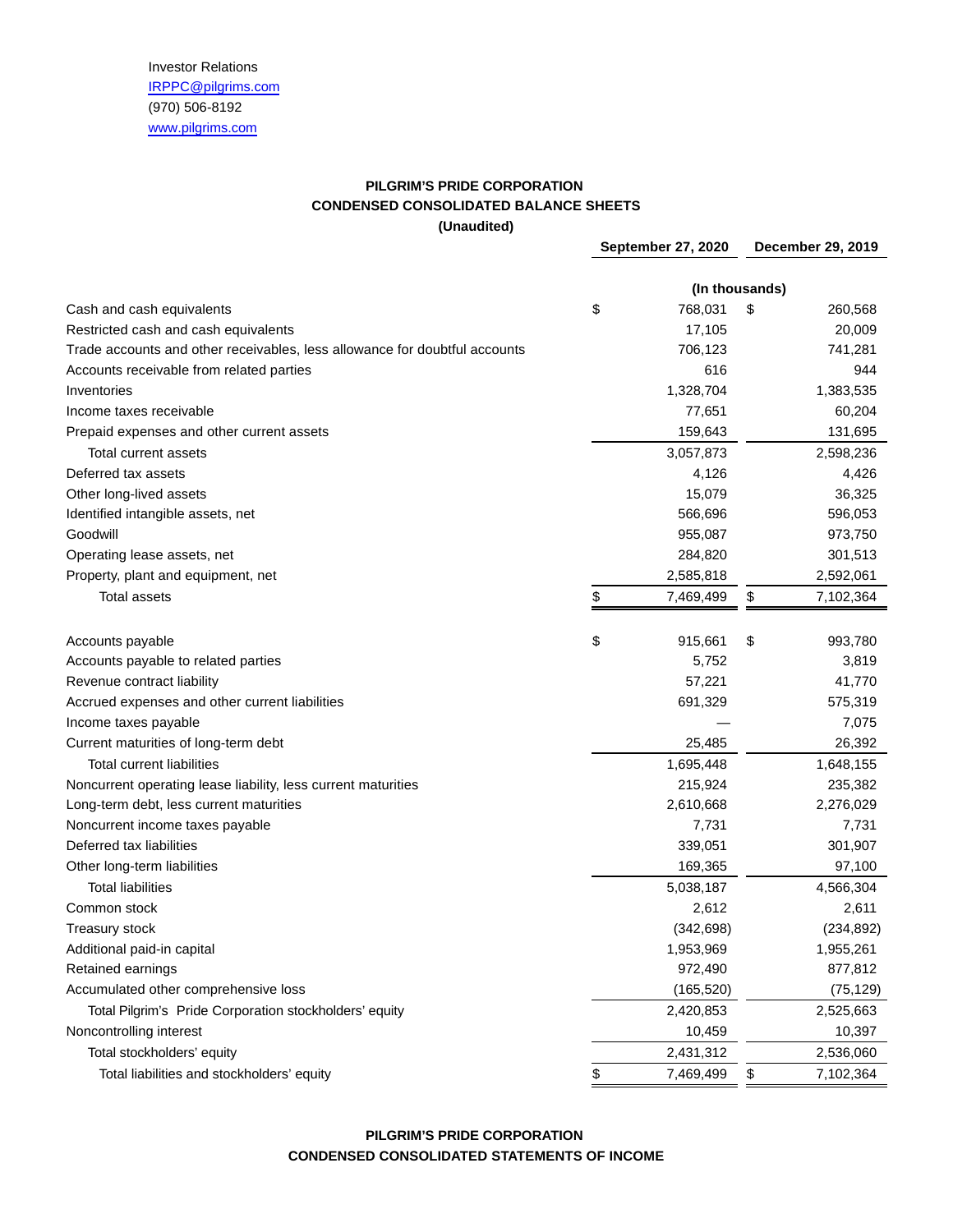## **PILGRIM'S PRIDE CORPORATION CONDENSED CONSOLIDATED BALANCE SHEETS (Unaudited)**

**September 27, 2020 December 29, 2019**

|                                                                            | (In thousands)  |                 |
|----------------------------------------------------------------------------|-----------------|-----------------|
| Cash and cash equivalents                                                  | \$<br>768,031   | \$<br>260,568   |
| Restricted cash and cash equivalents                                       | 17,105          | 20,009          |
| Trade accounts and other receivables, less allowance for doubtful accounts | 706,123         | 741,281         |
| Accounts receivable from related parties                                   | 616             | 944             |
| Inventories                                                                | 1,328,704       | 1,383,535       |
| Income taxes receivable                                                    | 77,651          | 60,204          |
| Prepaid expenses and other current assets                                  | 159,643         | 131,695         |
| Total current assets                                                       | 3,057,873       | 2,598,236       |
| Deferred tax assets                                                        | 4,126           | 4,426           |
| Other long-lived assets                                                    | 15,079          | 36,325          |
| Identified intangible assets, net                                          | 566,696         | 596,053         |
| Goodwill                                                                   | 955,087         | 973,750         |
| Operating lease assets, net                                                | 284,820         | 301,513         |
| Property, plant and equipment, net                                         | 2,585,818       | 2,592,061       |
| <b>Total assets</b>                                                        | \$<br>7,469,499 | \$<br>7,102,364 |
|                                                                            |                 |                 |
| Accounts payable                                                           | \$<br>915,661   | \$<br>993,780   |
| Accounts payable to related parties                                        | 5,752           | 3,819           |
| Revenue contract liability                                                 | 57,221          | 41,770          |
| Accrued expenses and other current liabilities                             | 691,329         | 575,319         |
| Income taxes payable                                                       |                 | 7,075           |
| Current maturities of long-term debt                                       | 25,485          | 26,392          |
| <b>Total current liabilities</b>                                           | 1,695,448       | 1,648,155       |
| Noncurrent operating lease liability, less current maturities              | 215,924         | 235,382         |
| Long-term debt, less current maturities                                    | 2,610,668       | 2,276,029       |
| Noncurrent income taxes payable                                            | 7,731           | 7,731           |
| Deferred tax liabilities                                                   | 339,051         | 301,907         |
| Other long-term liabilities                                                | 169,365         | 97,100          |
| <b>Total liabilities</b>                                                   | 5,038,187       | 4,566,304       |
| Common stock                                                               | 2,612           | 2,611           |
| <b>Treasury stock</b>                                                      | (342, 698)      | (234, 892)      |
| Additional paid-in capital                                                 | 1,953,969       | 1,955,261       |
| Retained earnings                                                          | 972,490         | 877,812         |
| Accumulated other comprehensive loss                                       | (165, 520)      | (75, 129)       |
| Total Pilgrim's Pride Corporation stockholders' equity                     | 2,420,853       | 2,525,663       |
| Noncontrolling interest                                                    | 10,459          | 10,397          |
| Total stockholders' equity                                                 | 2,431,312       | 2,536,060       |
| Total liabilities and stockholders' equity                                 | \$<br>7,469,499 | \$<br>7,102,364 |

**PILGRIM'S PRIDE CORPORATION CONDENSED CONSOLIDATED STATEMENTS OF INCOME**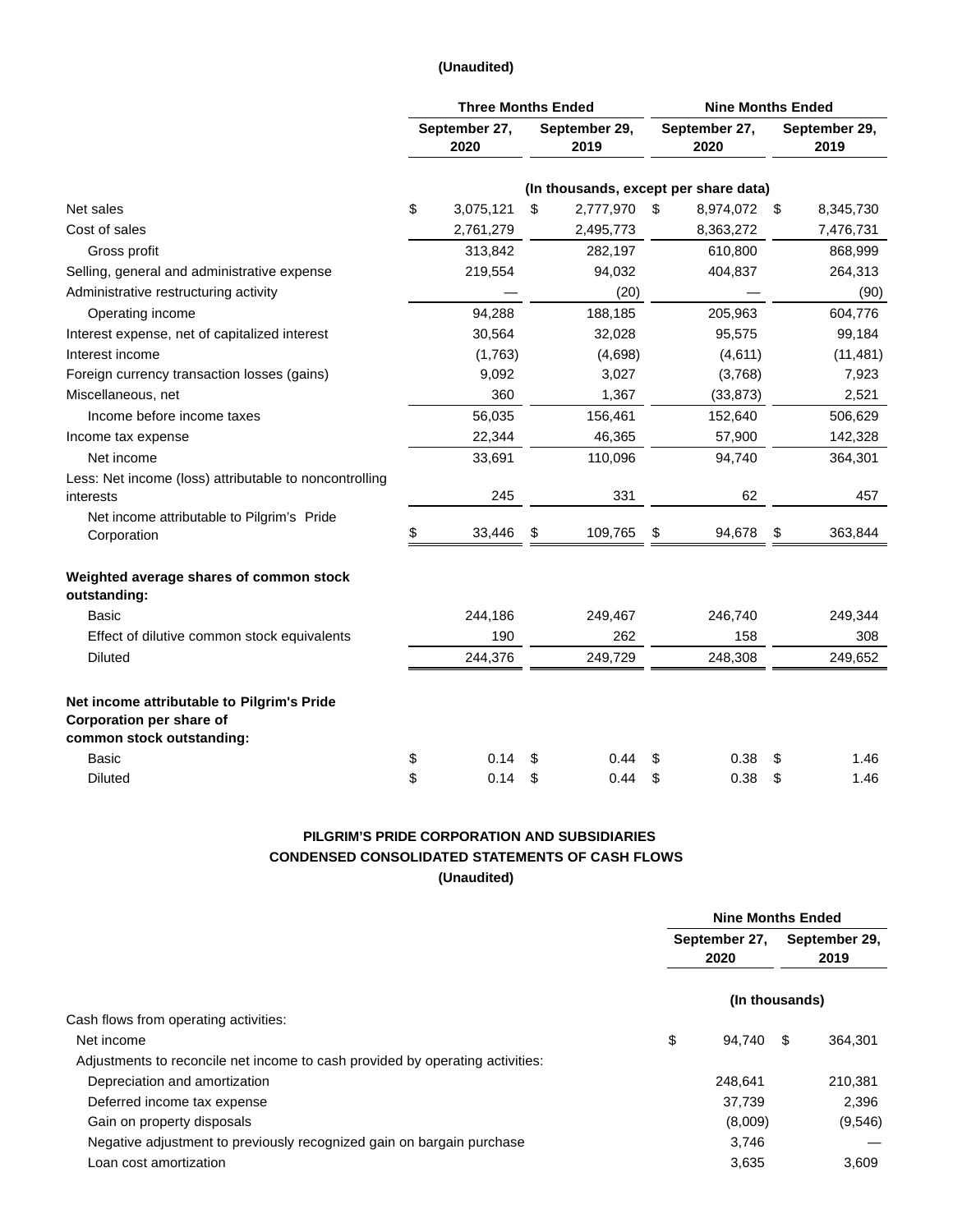# **(Unaudited)**

|                                                                        | <b>Three Months Ended</b> |                       |                                       | <b>Nine Months Ended</b> |                       |           |     |                       |
|------------------------------------------------------------------------|---------------------------|-----------------------|---------------------------------------|--------------------------|-----------------------|-----------|-----|-----------------------|
|                                                                        |                           | September 27,<br>2020 | September 29,<br>2019                 |                          | September 27,<br>2020 |           |     | September 29,<br>2019 |
|                                                                        |                           |                       | (In thousands, except per share data) |                          |                       |           |     |                       |
| Net sales                                                              | \$                        | 3,075,121             | \$                                    | 2,777,970                | - \$                  | 8,974,072 | -\$ | 8,345,730             |
| Cost of sales                                                          |                           | 2,761,279             |                                       | 2,495,773                |                       | 8,363,272 |     | 7,476,731             |
| Gross profit                                                           |                           | 313,842               |                                       | 282,197                  |                       | 610,800   |     | 868,999               |
| Selling, general and administrative expense                            |                           | 219,554               |                                       | 94,032                   |                       | 404,837   |     | 264,313               |
| Administrative restructuring activity                                  |                           |                       |                                       | (20)                     |                       |           |     | (90)                  |
| Operating income                                                       |                           | 94,288                |                                       | 188,185                  |                       | 205,963   |     | 604,776               |
| Interest expense, net of capitalized interest                          |                           | 30,564                |                                       | 32,028                   |                       | 95,575    |     | 99,184                |
| Interest income                                                        |                           | (1,763)               |                                       | (4,698)                  |                       | (4,611)   |     | (11, 481)             |
| Foreign currency transaction losses (gains)                            |                           | 9,092                 |                                       | 3,027                    |                       | (3,768)   |     | 7,923                 |
| Miscellaneous, net                                                     |                           | 360                   |                                       | 1,367                    |                       | (33, 873) |     | 2,521                 |
| Income before income taxes                                             |                           | 56,035                |                                       | 156,461                  |                       | 152,640   |     | 506,629               |
| Income tax expense                                                     |                           | 22,344                |                                       | 46,365                   |                       | 57,900    |     | 142,328               |
| Net income                                                             |                           | 33,691                |                                       | 110,096                  |                       | 94,740    |     | 364,301               |
| Less: Net income (loss) attributable to noncontrolling<br>interests    |                           | 245                   |                                       | 331                      |                       | 62        |     | 457                   |
| Net income attributable to Pilgrim's Pride<br>Corporation              | \$                        | 33,446                | \$                                    | 109,765                  | \$                    | 94,678    | \$  | 363,844               |
| Weighted average shares of common stock<br>outstanding:                |                           |                       |                                       |                          |                       |           |     |                       |
| Basic                                                                  |                           | 244,186               |                                       | 249,467                  |                       | 246,740   |     | 249,344               |
| Effect of dilutive common stock equivalents                            |                           | 190                   |                                       | 262                      |                       | 158       |     | 308                   |
| <b>Diluted</b>                                                         |                           | 244,376               |                                       | 249,729                  |                       | 248,308   |     | 249,652               |
| Net income attributable to Pilgrim's Pride<br>Corporation per share of |                           |                       |                                       |                          |                       |           |     |                       |
| common stock outstanding:                                              |                           |                       |                                       |                          |                       |           |     |                       |
| Basic                                                                  | \$                        | 0.14                  | S                                     | 0.44                     | \$                    | 0.38      | S   | 1.46                  |
| <b>Diluted</b>                                                         | \$                        | 0.14                  | \$                                    | 0.44                     | \$                    | 0.38      | \$  | 1.46                  |

# **PILGRIM'S PRIDE CORPORATION AND SUBSIDIARIES CONDENSED CONSOLIDATED STATEMENTS OF CASH FLOWS (Unaudited)**

|                                                                               | <b>Nine Months Ended</b><br>September 27,<br>2020<br>2019<br>(In thousands) |     |               |  |  |
|-------------------------------------------------------------------------------|-----------------------------------------------------------------------------|-----|---------------|--|--|
|                                                                               |                                                                             |     | September 29, |  |  |
|                                                                               |                                                                             |     |               |  |  |
| Cash flows from operating activities:                                         |                                                                             |     |               |  |  |
| Net income                                                                    | \$<br>94.740                                                                | \$. | 364.301       |  |  |
| Adjustments to reconcile net income to cash provided by operating activities: |                                                                             |     |               |  |  |
| Depreciation and amortization                                                 | 248.641                                                                     |     | 210,381       |  |  |
| Deferred income tax expense                                                   | 37.739                                                                      |     | 2,396         |  |  |
| Gain on property disposals                                                    | (8,009)                                                                     |     | (9,546)       |  |  |
| Negative adjustment to previously recognized gain on bargain purchase         | 3,746                                                                       |     |               |  |  |
| Loan cost amortization                                                        | 3,635                                                                       |     | 3.609         |  |  |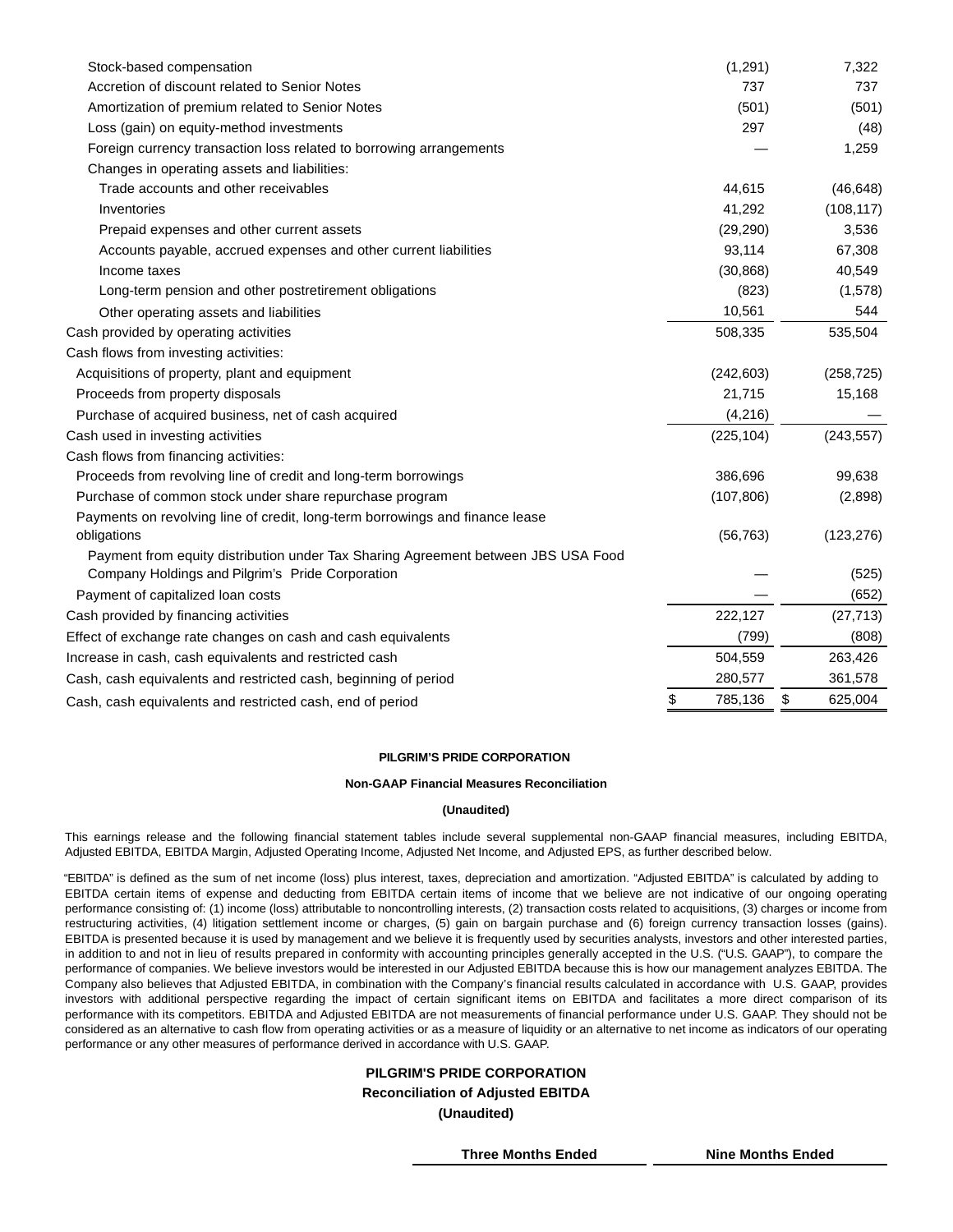| Stock-based compensation                                                          | (1,291)       | 7,322         |
|-----------------------------------------------------------------------------------|---------------|---------------|
| Accretion of discount related to Senior Notes                                     | 737           | 737           |
| Amortization of premium related to Senior Notes                                   | (501)         | (501)         |
| Loss (gain) on equity-method investments                                          | 297           | (48)          |
| Foreign currency transaction loss related to borrowing arrangements               |               | 1,259         |
| Changes in operating assets and liabilities:                                      |               |               |
| Trade accounts and other receivables                                              | 44,615        | (46, 648)     |
| Inventories                                                                       | 41,292        | (108, 117)    |
| Prepaid expenses and other current assets                                         | (29, 290)     | 3,536         |
| Accounts payable, accrued expenses and other current liabilities                  | 93,114        | 67,308        |
| Income taxes                                                                      | (30, 868)     | 40,549        |
| Long-term pension and other postretirement obligations                            | (823)         | (1,578)       |
| Other operating assets and liabilities                                            | 10,561        | 544           |
| Cash provided by operating activities                                             | 508,335       | 535,504       |
| Cash flows from investing activities:                                             |               |               |
| Acquisitions of property, plant and equipment                                     | (242, 603)    | (258, 725)    |
| Proceeds from property disposals                                                  | 21,715        | 15,168        |
| Purchase of acquired business, net of cash acquired                               | (4,216)       |               |
| Cash used in investing activities                                                 | (225, 104)    | (243, 557)    |
| Cash flows from financing activities:                                             |               |               |
| Proceeds from revolving line of credit and long-term borrowings                   | 386,696       | 99,638        |
| Purchase of common stock under share repurchase program                           | (107, 806)    | (2,898)       |
| Payments on revolving line of credit, long-term borrowings and finance lease      |               |               |
| obligations                                                                       | (56, 763)     | (123, 276)    |
| Payment from equity distribution under Tax Sharing Agreement between JBS USA Food |               |               |
| Company Holdings and Pilgrim's Pride Corporation                                  |               | (525)         |
| Payment of capitalized loan costs                                                 |               | (652)         |
| Cash provided by financing activities                                             | 222,127       | (27, 713)     |
| Effect of exchange rate changes on cash and cash equivalents                      | (799)         | (808)         |
| Increase in cash, cash equivalents and restricted cash                            | 504,559       | 263,426       |
| Cash, cash equivalents and restricted cash, beginning of period                   | 280,577       | 361,578       |
| Cash, cash equivalents and restricted cash, end of period                         | \$<br>785,136 | \$<br>625,004 |
|                                                                                   |               |               |

#### **PILGRIM'S PRIDE CORPORATION**

#### **Non-GAAP Financial Measures Reconciliation**

#### **(Unaudited)**

This earnings release and the following financial statement tables include several supplemental non-GAAP financial measures, including EBITDA, Adjusted EBITDA, EBITDA Margin, Adjusted Operating Income, Adjusted Net Income, and Adjusted EPS, as further described below.

"EBITDA" is defined as the sum of net income (loss) plus interest, taxes, depreciation and amortization. "Adjusted EBITDA" is calculated by adding to EBITDA certain items of expense and deducting from EBITDA certain items of income that we believe are not indicative of our ongoing operating performance consisting of: (1) income (loss) attributable to noncontrolling interests, (2) transaction costs related to acquisitions, (3) charges or income from restructuring activities, (4) litigation settlement income or charges, (5) gain on bargain purchase and (6) foreign currency transaction losses (gains). EBITDA is presented because it is used by management and we believe it is frequently used by securities analysts, investors and other interested parties, in addition to and not in lieu of results prepared in conformity with accounting principles generally accepted in the U.S. ("U.S. GAAP"), to compare the performance of companies. We believe investors would be interested in our Adjusted EBITDA because this is how our management analyzes EBITDA. The Company also believes that Adjusted EBITDA, in combination with the Company's financial results calculated in accordance with U.S. GAAP, provides investors with additional perspective regarding the impact of certain significant items on EBITDA and facilitates a more direct comparison of its performance with its competitors. EBITDA and Adjusted EBITDA are not measurements of financial performance under U.S. GAAP. They should not be considered as an alternative to cash flow from operating activities or as a measure of liquidity or an alternative to net income as indicators of our operating performance or any other measures of performance derived in accordance with U.S. GAAP.

### **PILGRIM'S PRIDE CORPORATION Reconciliation of Adjusted EBITDA (Unaudited)**

**Three Months Ended Nine Months Ended**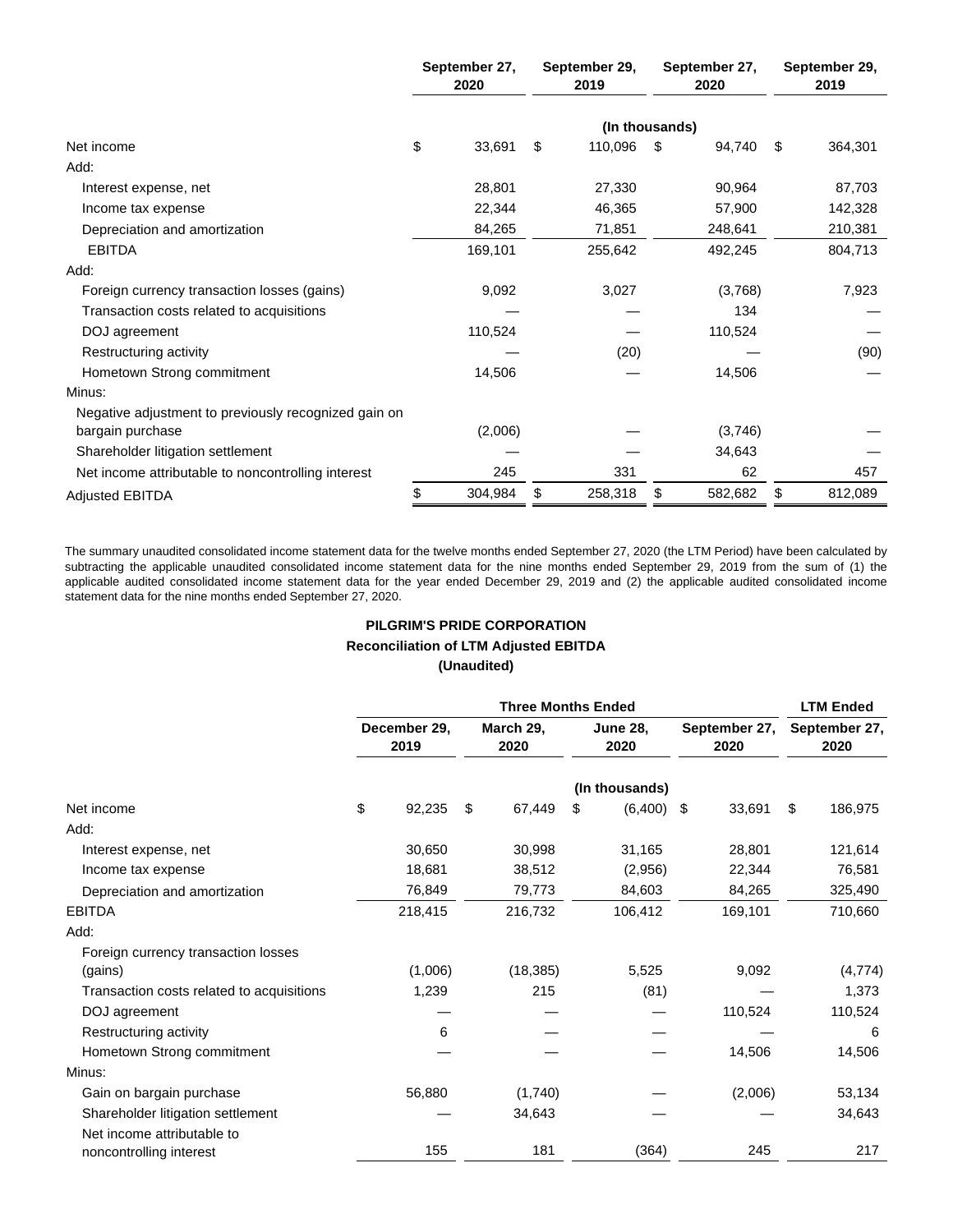|                                                      | September 27,<br>2020 |    | September 29,<br>2019 |    | September 27,<br>2020 |    | September 29,<br>2019 |
|------------------------------------------------------|-----------------------|----|-----------------------|----|-----------------------|----|-----------------------|
|                                                      |                       |    | (In thousands)        |    |                       |    |                       |
| Net income                                           | \$<br>33,691          | \$ | 110,096               | \$ | 94,740                | \$ | 364,301               |
| Add:                                                 |                       |    |                       |    |                       |    |                       |
| Interest expense, net                                | 28,801                |    | 27,330                |    | 90,964                |    | 87,703                |
| Income tax expense                                   | 22,344                |    | 46,365                |    | 57,900                |    | 142,328               |
| Depreciation and amortization                        | 84,265                |    | 71,851                |    | 248,641               |    | 210,381               |
| <b>EBITDA</b>                                        | 169,101               |    | 255,642               |    | 492,245               |    | 804,713               |
| Add:                                                 |                       |    |                       |    |                       |    |                       |
| Foreign currency transaction losses (gains)          | 9,092                 |    | 3,027                 |    | (3,768)               |    | 7,923                 |
| Transaction costs related to acquisitions            |                       |    |                       |    | 134                   |    |                       |
| DOJ agreement                                        | 110,524               |    |                       |    | 110,524               |    |                       |
| Restructuring activity                               |                       |    | (20)                  |    |                       |    | (90)                  |
| Hometown Strong commitment                           | 14,506                |    |                       |    | 14,506                |    |                       |
| Minus:                                               |                       |    |                       |    |                       |    |                       |
| Negative adjustment to previously recognized gain on |                       |    |                       |    |                       |    |                       |
| bargain purchase                                     | (2,006)               |    |                       |    | (3,746)               |    |                       |
| Shareholder litigation settlement                    |                       |    |                       |    | 34,643                |    |                       |
| Net income attributable to noncontrolling interest   | 245                   |    | 331                   |    | 62                    |    | 457                   |
| <b>Adjusted EBITDA</b>                               | \$<br>304,984         | \$ | 258,318               | \$ | 582,682               | \$ | 812,089               |

The summary unaudited consolidated income statement data for the twelve months ended September 27, 2020 (the LTM Period) have been calculated by subtracting the applicable unaudited consolidated income statement data for the nine months ended September 29, 2019 from the sum of (1) the applicable audited consolidated income statement data for the year ended December 29, 2019 and (2) the applicable audited consolidated income statement data for the nine months ended September 27, 2020.

# **PILGRIM'S PRIDE CORPORATION**

## **Reconciliation of LTM Adjusted EBITDA**

**(Unaudited)**

|                                           |                      |                   |           | <b>Three Months Ended</b> |                       |         | <b>LTM Ended</b>      |          |  |
|-------------------------------------------|----------------------|-------------------|-----------|---------------------------|-----------------------|---------|-----------------------|----------|--|
|                                           | December 29,<br>2019 | March 29,<br>2020 |           | <b>June 28,</b><br>2020   | September 27,<br>2020 |         | September 27,<br>2020 |          |  |
|                                           |                      |                   |           | (In thousands)            |                       |         |                       |          |  |
| Net income                                | \$<br>92,235         | \$                | 67,449    | $(6,400)$ \$<br>\$        |                       | 33,691  | \$                    | 186,975  |  |
| Add:                                      |                      |                   |           |                           |                       |         |                       |          |  |
| Interest expense, net                     | 30,650               |                   | 30,998    | 31,165                    |                       | 28,801  |                       | 121,614  |  |
| Income tax expense                        | 18,681               |                   | 38,512    | (2,956)                   |                       | 22,344  |                       | 76,581   |  |
| Depreciation and amortization             | 76,849               |                   | 79,773    | 84,603                    |                       | 84,265  |                       | 325,490  |  |
| <b>EBITDA</b>                             | 218,415              |                   | 216,732   | 106,412                   |                       | 169,101 |                       | 710,660  |  |
| Add:                                      |                      |                   |           |                           |                       |         |                       |          |  |
| Foreign currency transaction losses       |                      |                   |           |                           |                       |         |                       |          |  |
| (gains)                                   | (1,006)              |                   | (18, 385) | 5,525                     |                       | 9,092   |                       | (4, 774) |  |
| Transaction costs related to acquisitions | 1,239                |                   | 215       | (81)                      |                       |         |                       | 1,373    |  |
| DOJ agreement                             |                      |                   |           |                           |                       | 110,524 |                       | 110,524  |  |
| Restructuring activity                    | 6                    |                   |           |                           |                       |         |                       | 6        |  |
| Hometown Strong commitment                |                      |                   |           |                           |                       | 14,506  |                       | 14,506   |  |
| Minus:                                    |                      |                   |           |                           |                       |         |                       |          |  |
| Gain on bargain purchase                  | 56,880               |                   | (1,740)   |                           |                       | (2,006) |                       | 53,134   |  |
| Shareholder litigation settlement         |                      |                   | 34,643    |                           |                       |         |                       | 34,643   |  |
| Net income attributable to                |                      |                   |           |                           |                       |         |                       |          |  |
| noncontrolling interest                   | 155                  |                   | 181       | (364)                     |                       | 245     |                       | 217      |  |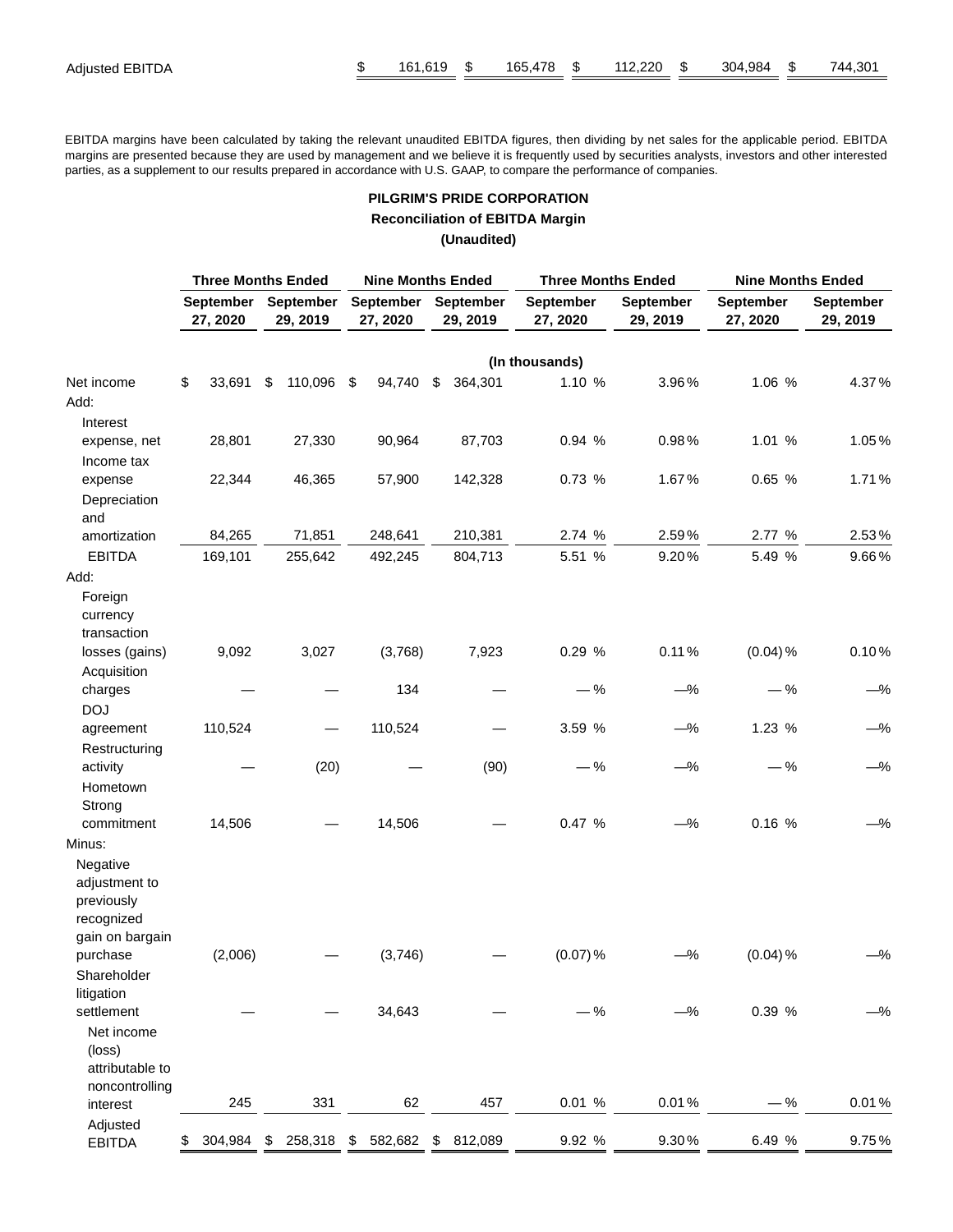EBITDA margins have been calculated by taking the relevant unaudited EBITDA figures, then dividing by net sales for the applicable period. EBITDA margins are presented because they are used by management and we believe it is frequently used by securities analysts, investors and other interested parties, as a supplement to our results prepared in accordance with U.S. GAAP, to compare the performance of companies.

## **PILGRIM'S PRIDE CORPORATION**

**Reconciliation of EBITDA Margin**

**(Unaudited)**

|                               |                       | <b>Three Months Ended</b>    |                       | <b>Nine Months Ended</b> | <b>Three Months Ended</b>    |                              | <b>Nine Months Ended</b> |                       |
|-------------------------------|-----------------------|------------------------------|-----------------------|--------------------------|------------------------------|------------------------------|--------------------------|-----------------------|
|                               | September<br>27, 2020 | <b>September</b><br>29, 2019 | September<br>27, 2020 | September<br>29, 2019    | <b>September</b><br>27, 2020 | <b>September</b><br>29, 2019 | September<br>27, 2020    | September<br>29, 2019 |
|                               |                       |                              |                       |                          |                              |                              |                          |                       |
|                               |                       |                              |                       |                          | (In thousands)               |                              |                          |                       |
| Net income                    | \$<br>33,691          | 110,096<br>\$                | \$<br>94,740          | \$<br>364,301            | 1.10 %                       | 3.96%                        | 1.06 %                   | 4.37%                 |
| Add:                          |                       |                              |                       |                          |                              |                              |                          |                       |
| Interest                      |                       | 27,330                       |                       |                          |                              | 0.98%                        | 1.01 %                   |                       |
| expense, net                  | 28,801                |                              | 90,964                | 87,703                   | 0.94 %                       |                              |                          | 1.05%                 |
| Income tax<br>expense         | 22,344                | 46,365                       | 57,900                | 142,328                  | 0.73 %                       | 1.67%                        | 0.65%                    | 1.71%                 |
|                               |                       |                              |                       |                          |                              |                              |                          |                       |
| Depreciation<br>and           |                       |                              |                       |                          |                              |                              |                          |                       |
| amortization                  | 84,265                | 71,851                       | 248,641               | 210,381                  | 2.74 %                       | 2.59%                        | 2.77 %                   | 2.53%                 |
| <b>EBITDA</b>                 | 169,101               | 255,642                      | 492,245               | 804,713                  | 5.51 %                       | 9.20%                        | 5.49 %                   | 9.66%                 |
| Add:                          |                       |                              |                       |                          |                              |                              |                          |                       |
| Foreign                       |                       |                              |                       |                          |                              |                              |                          |                       |
| currency                      |                       |                              |                       |                          |                              |                              |                          |                       |
| transaction                   |                       |                              |                       |                          |                              |                              |                          |                       |
| losses (gains)                | 9,092                 | 3,027                        | (3,768)               | 7,923                    | 0.29 %                       | 0.11%                        | $(0.04)$ %               | 0.10%                 |
| Acquisition                   |                       |                              |                       |                          |                              |                              |                          |                       |
| charges                       |                       |                              | 134                   |                          | $-$ %                        | $-\%$                        | $-$ %                    | $-\%$                 |
| <b>DOJ</b>                    |                       |                              |                       |                          |                              |                              |                          |                       |
| agreement                     | 110,524               |                              | 110,524               |                          | 3.59 %                       | $-\%$                        | 1.23 %                   | $-\%$                 |
| Restructuring                 |                       |                              |                       |                          |                              |                              |                          |                       |
| activity                      |                       | (20)                         |                       | (90)                     | $-$ %                        | $-\%$                        | $-$ %                    | $-\%$                 |
| Hometown                      |                       |                              |                       |                          |                              |                              |                          |                       |
| Strong                        |                       |                              |                       |                          |                              |                              |                          |                       |
| commitment                    | 14,506                |                              | 14,506                |                          | 0.47 %                       | $-\%$                        | 0.16%                    | $-\%$                 |
| Minus:                        |                       |                              |                       |                          |                              |                              |                          |                       |
| Negative                      |                       |                              |                       |                          |                              |                              |                          |                       |
| adjustment to                 |                       |                              |                       |                          |                              |                              |                          |                       |
| previously                    |                       |                              |                       |                          |                              |                              |                          |                       |
| recognized<br>gain on bargain |                       |                              |                       |                          |                              |                              |                          |                       |
| purchase                      | (2,006)               |                              | (3,746)               |                          | $(0.07)$ %                   | $-\%$                        | $(0.04)$ %               | $-\%$                 |
| Shareholder                   |                       |                              |                       |                          |                              |                              |                          |                       |
| litigation                    |                       |                              |                       |                          |                              |                              |                          |                       |
| settlement                    |                       |                              | 34,643                |                          | $-$ %                        | $-\%$                        | 0.39 %                   | $-\%$                 |
| Net income                    |                       |                              |                       |                          |                              |                              |                          |                       |
| (loss)                        |                       |                              |                       |                          |                              |                              |                          |                       |
| attributable to               |                       |                              |                       |                          |                              |                              |                          |                       |
| noncontrolling                |                       |                              |                       |                          |                              |                              |                          |                       |
| interest                      | 245                   | 331                          | 62                    | 457                      | 0.01%                        | 0.01%                        | $-$ %                    | 0.01%                 |
| Adjusted                      |                       |                              |                       |                          |                              |                              |                          |                       |
| <b>EBITDA</b>                 | 304,984<br>S.         | 258,318<br>\$                | 582,682<br>\$         | 812,089<br>\$            | 9.92 %                       | 9.30%                        | 6.49 %                   | 9.75%                 |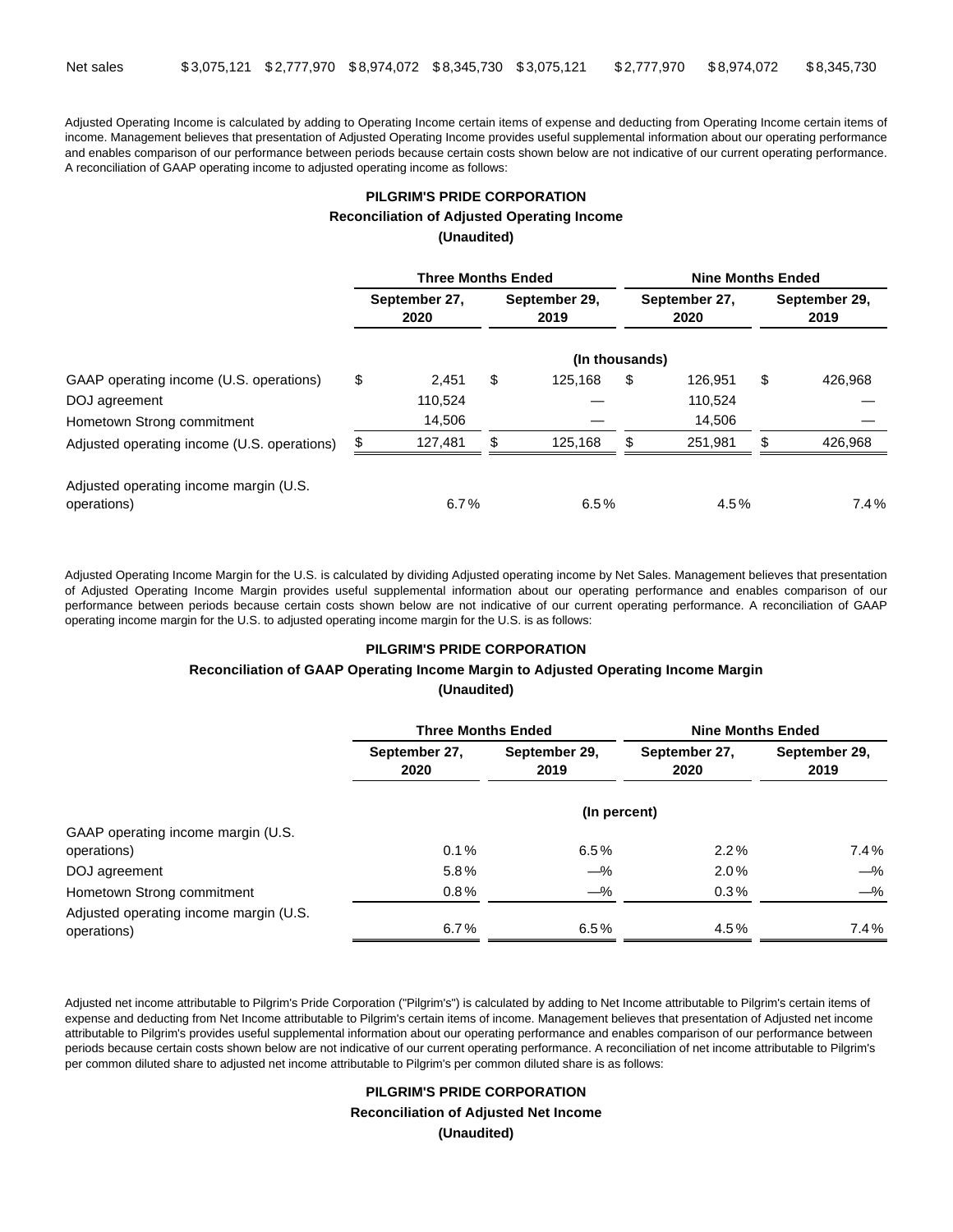Adjusted Operating Income is calculated by adding to Operating Income certain items of expense and deducting from Operating Income certain items of income. Management believes that presentation of Adjusted Operating Income provides useful supplemental information about our operating performance and enables comparison of our performance between periods because certain costs shown below are not indicative of our current operating performance. A reconciliation of GAAP operating income to adjusted operating income as follows:

### **PILGRIM'S PRIDE CORPORATION Reconciliation of Adjusted Operating Income**

#### **(Unaudited)**

|                                                       |                       | <b>Three Months Ended</b> |                       |         |                | <b>Nine Months Ended</b> |    |                       |  |
|-------------------------------------------------------|-----------------------|---------------------------|-----------------------|---------|----------------|--------------------------|----|-----------------------|--|
|                                                       | September 27,<br>2020 |                           | September 29,<br>2019 |         |                | September 27,<br>2020    |    | September 29,<br>2019 |  |
|                                                       |                       |                           |                       |         | (In thousands) |                          |    |                       |  |
| GAAP operating income (U.S. operations)               | \$                    | 2,451                     | \$                    | 125,168 | \$             | 126,951                  | \$ | 426,968               |  |
| DOJ agreement                                         |                       | 110,524                   |                       |         |                | 110.524                  |    |                       |  |
| Hometown Strong commitment                            |                       | 14,506                    |                       |         |                | 14,506                   |    |                       |  |
| Adjusted operating income (U.S. operations)           | \$                    | 127,481                   | S                     | 125,168 | \$.            | 251,981                  | S  | 426,968               |  |
| Adjusted operating income margin (U.S.<br>operations) |                       | 6.7%                      |                       | 6.5%    |                | $4.5\%$                  |    | 7.4%                  |  |

Adjusted Operating Income Margin for the U.S. is calculated by dividing Adjusted operating income by Net Sales. Management believes that presentation of Adjusted Operating Income Margin provides useful supplemental information about our operating performance and enables comparison of our performance between periods because certain costs shown below are not indicative of our current operating performance. A reconciliation of GAAP operating income margin for the U.S. to adjusted operating income margin for the U.S. is as follows:

#### **PILGRIM'S PRIDE CORPORATION**

### **Reconciliation of GAAP Operating Income Margin to Adjusted Operating Income Margin (Unaudited)**

|                                                       | <b>Three Months Ended</b> |                       | <b>Nine Months Ended</b> |                       |  |  |  |  |  |  |  |  |  |
|-------------------------------------------------------|---------------------------|-----------------------|--------------------------|-----------------------|--|--|--|--|--|--|--|--|--|
|                                                       | September 27,<br>2020     | September 29,<br>2019 | September 27,<br>2020    | September 29,<br>2019 |  |  |  |  |  |  |  |  |  |
|                                                       | (In percent)              |                       |                          |                       |  |  |  |  |  |  |  |  |  |
| GAAP operating income margin (U.S.                    |                           |                       |                          |                       |  |  |  |  |  |  |  |  |  |
| operations)                                           | 0.1%                      | 6.5%                  | $2.2\%$                  | 7.4%                  |  |  |  |  |  |  |  |  |  |
| DOJ agreement                                         | $5.8\%$                   | $-\%$                 | 2.0%                     | $-\%$                 |  |  |  |  |  |  |  |  |  |
| Hometown Strong commitment                            | $0.8\%$                   | $-\%$                 | $0.3\%$                  | $-\%$                 |  |  |  |  |  |  |  |  |  |
| Adjusted operating income margin (U.S.<br>operations) | 6.7%                      | 6.5%                  | $4.5\%$                  | 7.4%                  |  |  |  |  |  |  |  |  |  |

Adjusted net income attributable to Pilgrim's Pride Corporation ("Pilgrim's") is calculated by adding to Net Income attributable to Pilgrim's certain items of expense and deducting from Net Income attributable to Pilgrim's certain items of income. Management believes that presentation of Adjusted net income attributable to Pilgrim's provides useful supplemental information about our operating performance and enables comparison of our performance between periods because certain costs shown below are not indicative of our current operating performance. A reconciliation of net income attributable to Pilgrim's per common diluted share to adjusted net income attributable to Pilgrim's per common diluted share is as follows:

### **PILGRIM'S PRIDE CORPORATION**

**Reconciliation of Adjusted Net Income**

**(Unaudited)**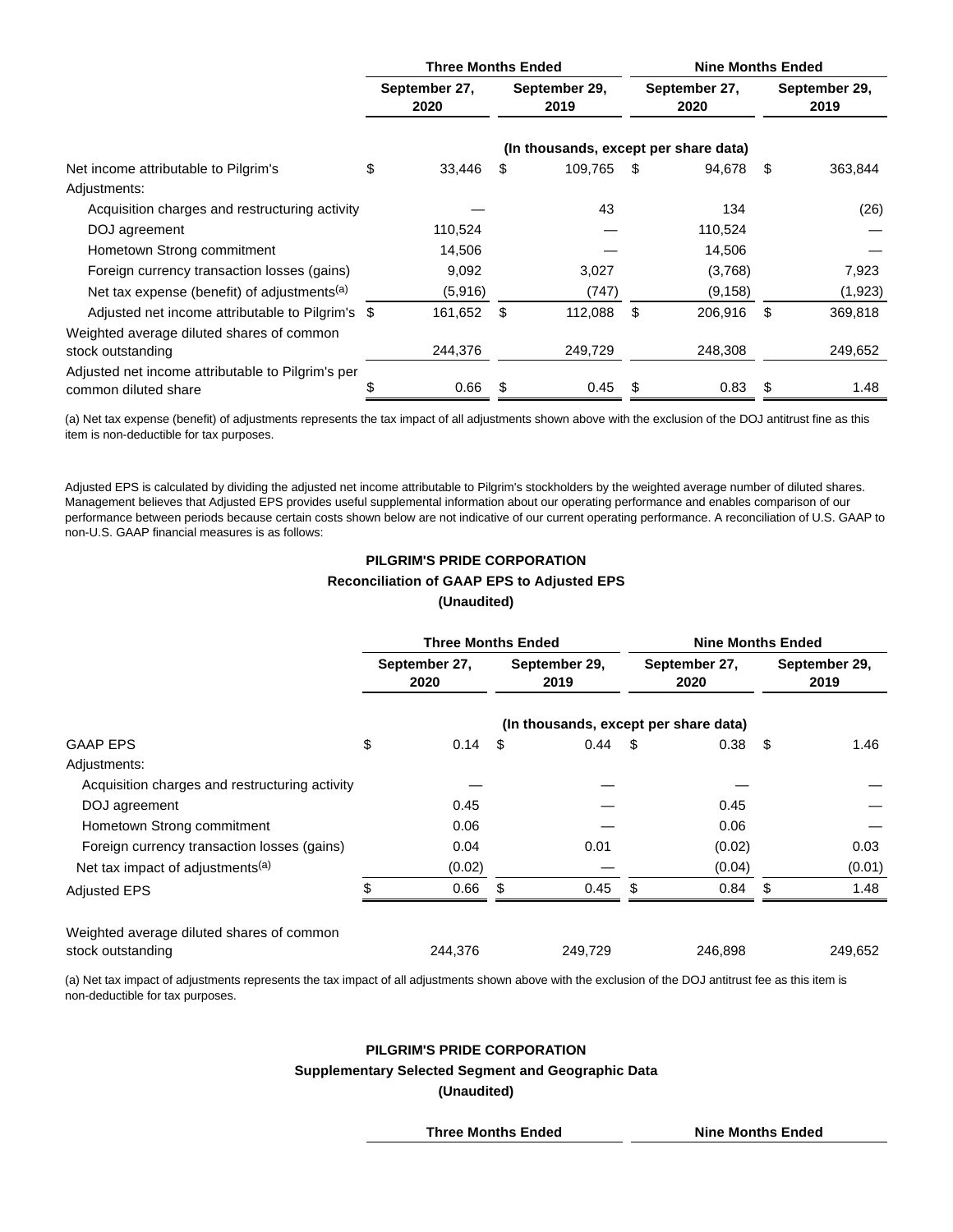|                                                         | <b>Three Months Ended</b> |      |                                       | <b>Nine Months Ended</b> |                       |      |                       |  |
|---------------------------------------------------------|---------------------------|------|---------------------------------------|--------------------------|-----------------------|------|-----------------------|--|
|                                                         | September 27,<br>2020     |      | September 29.<br>2019                 |                          | September 27,<br>2020 |      | September 29,<br>2019 |  |
|                                                         |                           |      | (In thousands, except per share data) |                          |                       |      |                       |  |
| Net income attributable to Pilgrim's                    | \$<br>33,446              | S    | 109,765                               | - \$                     | 94,678                | S    | 363,844               |  |
| Adjustments:                                            |                           |      |                                       |                          |                       |      |                       |  |
| Acquisition charges and restructuring activity          |                           |      | 43                                    |                          | 134                   |      | (26)                  |  |
| DOJ agreement                                           | 110,524                   |      |                                       |                          | 110,524               |      |                       |  |
| Hometown Strong commitment                              | 14,506                    |      |                                       |                          | 14,506                |      |                       |  |
| Foreign currency transaction losses (gains)             | 9,092                     |      | 3,027                                 |                          | (3,768)               |      | 7,923                 |  |
| Net tax expense (benefit) of adjustments <sup>(a)</sup> | (5,916)                   |      | (747)                                 |                          | (9, 158)              |      | (1,923)               |  |
| Adjusted net income attributable to Pilgrim's \$        | 161,652                   | - \$ | 112,088                               | - \$                     | 206,916               | - \$ | 369,818               |  |
| Weighted average diluted shares of common               |                           |      |                                       |                          |                       |      |                       |  |
| stock outstanding                                       | 244,376                   |      | 249,729                               |                          | 248,308               |      | 249,652               |  |
| Adjusted net income attributable to Pilgrim's per       |                           |      |                                       |                          |                       |      |                       |  |
| common diluted share                                    | 0.66                      | \$   | 0.45                                  | \$                       | 0.83                  | \$   | 1.48                  |  |

(a) Net tax expense (benefit) of adjustments represents the tax impact of all adjustments shown above with the exclusion of the DOJ antitrust fine as this item is non-deductible for tax purposes.

Adjusted EPS is calculated by dividing the adjusted net income attributable to Pilgrim's stockholders by the weighted average number of diluted shares. Management believes that Adjusted EPS provides useful supplemental information about our operating performance and enables comparison of our performance between periods because certain costs shown below are not indicative of our current operating performance. A reconciliation of U.S. GAAP to non-U.S. GAAP financial measures is as follows:

## **PILGRIM'S PRIDE CORPORATION Reconciliation of GAAP EPS to Adjusted EPS (Unaudited)**

| <b>Three Months Ended</b> |                       |         |                       |         | <b>Nine Months Ended</b> |                                                                   |                       |  |
|---------------------------|-----------------------|---------|-----------------------|---------|--------------------------|-------------------------------------------------------------------|-----------------------|--|
|                           | September 27,<br>2020 |         | September 29,<br>2019 |         | 2020                     |                                                                   | September 29,<br>2019 |  |
|                           |                       |         |                       |         |                          |                                                                   |                       |  |
| \$                        | 0.14                  | \$      |                       |         | 0.38                     | -\$                                                               | 1.46                  |  |
|                           |                       |         |                       |         |                          |                                                                   |                       |  |
|                           |                       |         |                       |         |                          |                                                                   |                       |  |
|                           | 0.45                  |         |                       |         | 0.45                     |                                                                   |                       |  |
|                           | 0.06                  |         |                       |         | 0.06                     |                                                                   |                       |  |
|                           | 0.04                  |         | 0.01                  |         | (0.02)                   |                                                                   | 0.03                  |  |
|                           | (0.02)                |         |                       |         | (0.04)                   |                                                                   | (0.01)                |  |
|                           | 0.66                  | \$      | 0.45                  | \$      | 0.84                     | \$                                                                | 1.48                  |  |
|                           |                       |         |                       |         |                          |                                                                   | 249,652               |  |
|                           |                       | 244,376 |                       | 249,729 | $0.44 \quad$ \$          | September 27,<br>(In thousands, except per share data)<br>246,898 |                       |  |

(a) Net tax impact of adjustments represents the tax impact of all adjustments shown above with the exclusion of the DOJ antitrust fee as this item is non-deductible for tax purposes.

### **PILGRIM'S PRIDE CORPORATION**

**Supplementary Selected Segment and Geographic Data**

**(Unaudited)**

**Three Months Ended Nine Months Ended**